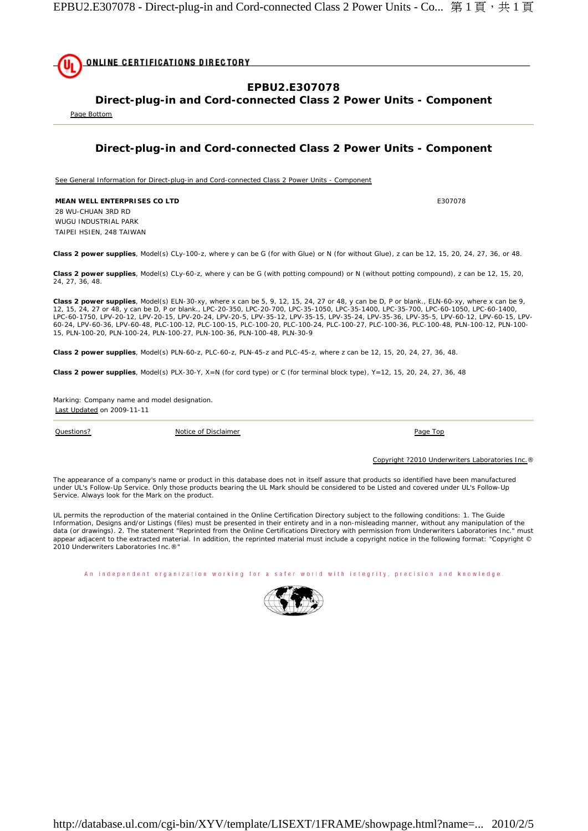

**Direct-plug-in and Cord-connected Class 2 Power Units - Component** 

Page Bottom

## **Direct-plug-in and Cord-connected Class 2 Power Units - Component**

See General Information for Direct-plug-in and Cord-connected Class 2 Power Units - Component

**MEAN WELL ENTERPRISES CO LTD E307078** 28 WU-CHUAN 3RD RD WUGU INDUSTRIAL PARK TAIPEI HSIEN, 248 TAIWAN

**Class 2 power supplies**, Model(s) CLy-100-z, where y can be G (for with Glue) or N (for without Glue), z can be 12, 15, 20, 24, 27, 36, or 48.

**Class 2 power supplies**, Model(s) CLy-60-z, where y can be G (with potting compound) or N (without potting compound), z can be 12, 15, 20, 24, 27, 36, 48.

**Class 2 power supplies**, Model(s) ELN-30-xy, where x can be 5, 9, 12, 15, 24, 27 or 48, y can be D, P or blank., ELN-60-xy, where x can be 9,<br>12, 15, 24, 27 or 48, y can be D, P or blank., LPC-20-350, LPC-20-700, LPC-35-1 LPC-60-1750, LPV-20-12, LPV-20-15, LPV-20-24, LPV-20-5, LPV-35-12, LPV-35-15, LPV-35-24, LPV-35-36, LPV-35-5, LPV-60-12, LPV-60-15, LPV-<br>60-24, LPV-60-36, LPV-60-48, PLC-100-12, PLC-100-15, PLC-100-20, PLC-100-24, PLC-100-15, PLN-100-20, PLN-100-24, PLN-100-27, PLN-100-36, PLN-100-48, PLN-30-9

**Class 2 power supplies**, Model(s) PLN-60-z, PLC-60-z, PLN-45-z and PLC-45-z, where z can be 12, 15, 20, 24, 27, 36, 48.

**Class 2 power supplies**, Model(s) PLX-30-Y, X=N (for cord type) or C (for terminal block type), Y=12, 15, 20, 24, 27, 36, 48

Marking: Company name and model designation. Last Updated on 2009-11-11

Questions? Notice of Disclaimer Page Top

Copyright ?2010 Underwriters Laboratories Inc.®

The appearance of a company's name or product in this database does not in itself assure that products so identified have been manufactured<br>under UL's Follow-Up Service. Only those products bearing the UL Mark should be co Service. Always look for the Mark on the product.

UL permits the reproduction of the material contained in the Online Certification Directory subject to the following conditions: 1. The Guide Information, Designs and/or Listings (files) must be presented in their entirety and in a non-misleading manner, without any manipulation of the data (or drawings). 2. The statement "Reprinted from the Online Certifications Directory with permission from Underwriters Laboratories Inc." must appear adjacent to the extracted material. In addition, the reprinted material must include a copyright notice in the following format: "Copyright © 2010 Underwriters Laboratories Inc.®"

An independent organization working for a safer world with integrity, precision and knowledge.